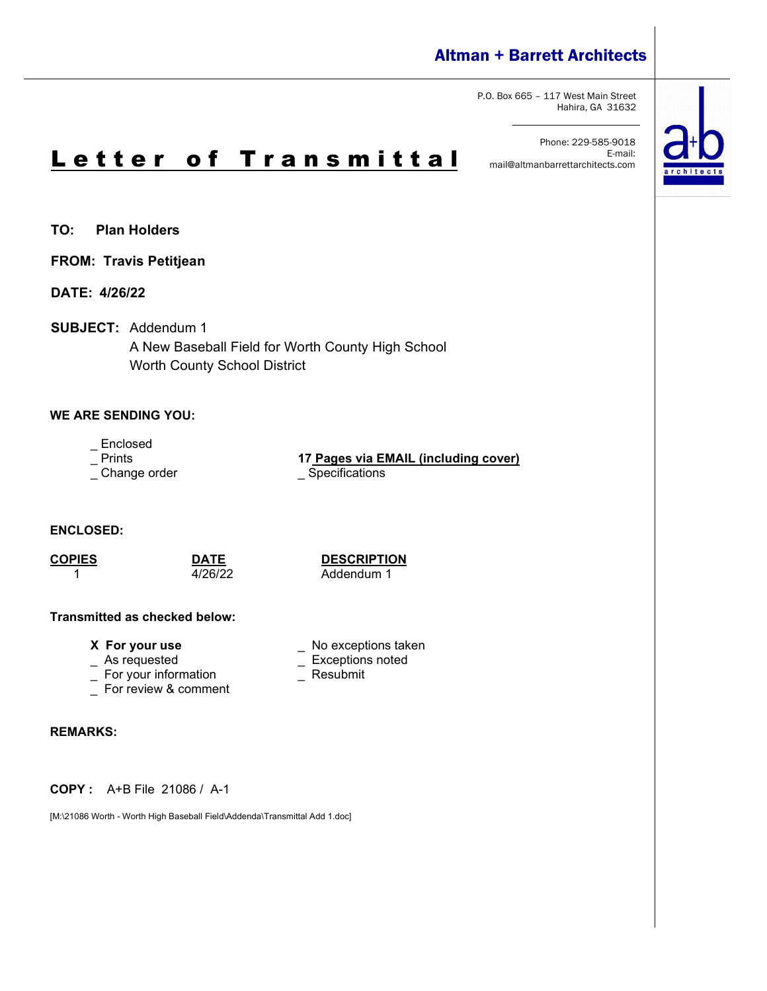# Altman + Barrett Architects

P.O. Box 665 – 117 West Main Street Hahira, GA 31632

Phone: 229-585-9018 E-mail: mail@altmanbarrettarchitects.com



**TO: Plan Holders**

**FROM: Travis Petitjean**

**DATE: 4/26/22**

**SUBJECT:** Addendum 1

A New Baseball Field for Worth County High School Worth County School District

# **WE ARE SENDING YOU:**

- Enclosed<br>- Prints

\_ Change order \_\_\_\_\_\_\_\_\_\_\_\_\_\_\_\_\_\_\_\_\_\_\_\_\_\_Specifications

17 Pages via EMAIL (including cover)

**ENCLOSED:**

**COPIES DATE DESCRIPTION** Addendum 1

\_ Exceptions noted<br>\_ Resubmit

#### **Transmitted as checked below:**

**X** For your use  $\qquad \qquad$  No exceptions taken  $\qquad \qquad$  As requested  $\qquad \qquad \qquad$  Exceptions noted

- 
- $\overline{\phantom{a}}$  For your information
- \_ For review & comment

## **REMARKS:**

**COPY :** A+B File 21086 / A-1

[M:\21086 Worth - Worth High Baseball Field\Addenda\Transmittal Add 1.doc]

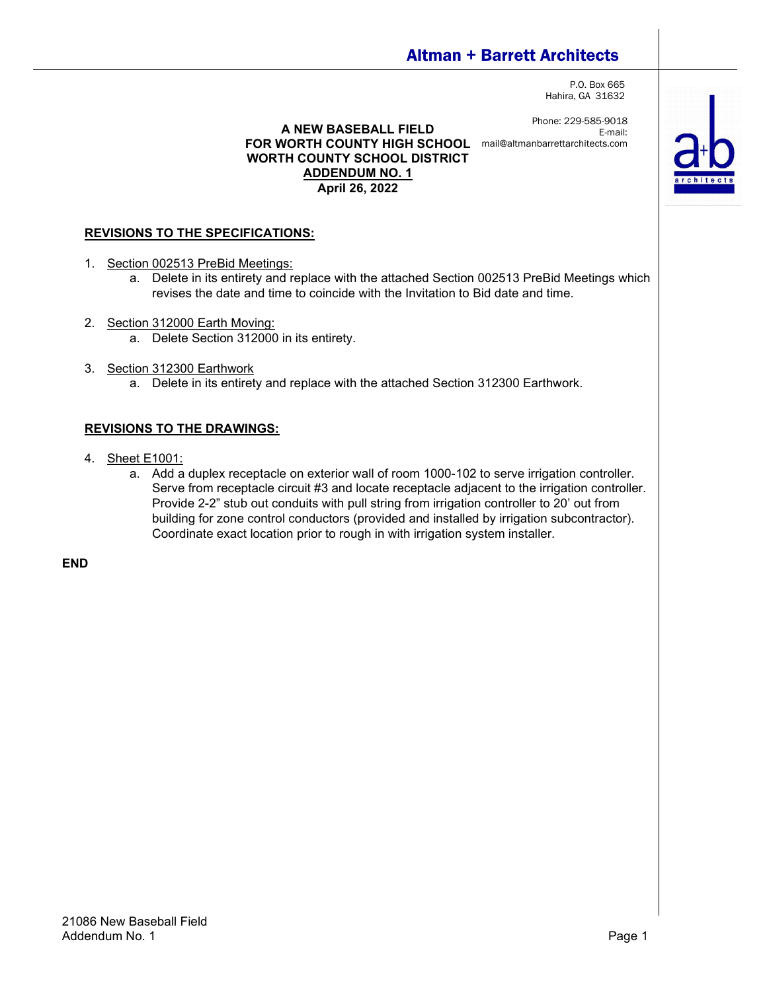# Altman + Barrett Architects

P.O. Box 665 Hahira, GA 31632

Phone: 229-585-9018 E-mail:

**A NEW BASEBALL FIELD FOR WORTH COUNTY HIGH SCHOOL** mail@altmanbarrettarchitects.com**WORTH COUNTY SCHOOL DISTRICT ADDENDUM NO. 1 April 26, 2022**

# **REVISIONS TO THE SPECIFICATIONS:**

- 1. Section 002513 PreBid Meetings:
	- a. Delete in its entirety and replace with the attached Section 002513 PreBid Meetings which revises the date and time to coincide with the Invitation to Bid date and time.
- 2. Section 312000 Earth Moving:
	- a. Delete Section 312000 in its entirety.
- 3. Section 312300 Earthwork
	- a. Delete in its entirety and replace with the attached Section 312300 Earthwork.

## **REVISIONS TO THE DRAWINGS:**

- 4. Sheet E1001:
	- a. Add a duplex receptacle on exterior wall of room 1000-102 to serve irrigation controller. Serve from receptacle circuit #3 and locate receptacle adjacent to the irrigation controller. Provide 2-2" stub out conduits with pull string from irrigation controller to 20' out from building for zone control conductors (provided and installed by irrigation subcontractor). Coordinate exact location prior to rough in with irrigation system installer.

**END**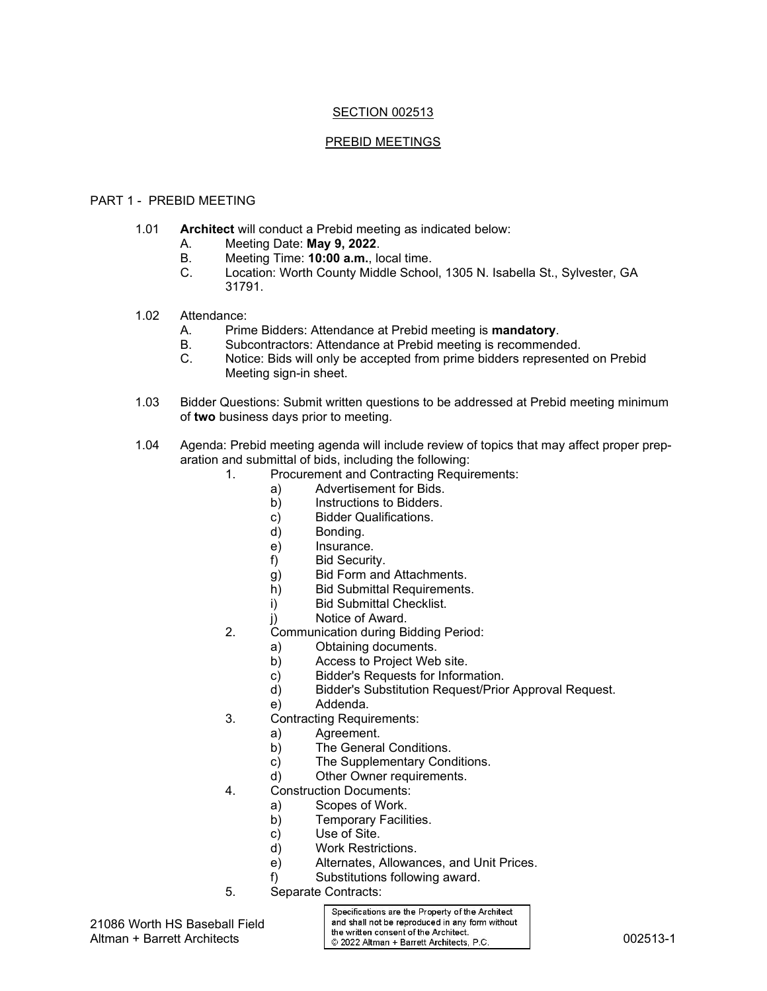# SECTION 002513

#### PREBID MEETINGS

#### PART 1 - PREBID MEETING

- 1.01 **Architect** will conduct a Prebid meeting as indicated below:
	- A. Meeting Date: **May 9, 2022**.
	- B. Meeting Time: **10:00 a.m.**, local time.
	- Location: Worth County Middle School, 1305 N. Isabella St., Sylvester, GA 31791.
- 1.02 Attendance:
	- A. Prime Bidders: Attendance at Prebid meeting is **mandatory**.
	- B. Subcontractors: Attendance at Prebid meeting is recommended.<br>C. Notice: Bids will only be accepted from prime bidders represente
	- Notice: Bids will only be accepted from prime bidders represented on Prebid Meeting sign-in sheet.
- 1.03 Bidder Questions: Submit written questions to be addressed at Prebid meeting minimum of **two** business days prior to meeting.
- 1.04 Agenda: Prebid meeting agenda will include review of topics that may affect proper preparation and submittal of bids, including the following:
	- 1. Procurement and Contracting Requirements:
		- a) Advertisement for Bids.
		- b) Instructions to Bidders.
		- c) Bidder Qualifications.
		- d) Bonding.
		- e) Insurance.
		- f) Bid Security.
		- g) Bid Form and Attachments.
		- h) Bid Submittal Requirements.
		- i) Bid Submittal Checklist.
		- j) Notice of Award.
	- 2. Communication during Bidding Period:
		- a) Obtaining documents.<br>b) Access to Project Web
		- Access to Project Web site.
		- c) Bidder's Requests for Information.
		- d) Bidder's Substitution Request/Prior Approval Request.
		- e) Addenda.
	- 3. Contracting Requirements:
		- a) Agreement.<br>b) The Genera
			- The General Conditions.
			- c) The Supplementary Conditions.
			- d) Other Owner requirements.
	- 4. Construction Documents:
		- a) Scopes of Work.
		- b) Temporary Facilities.<br>c) Use of Site.
		- Use of Site.
		- d) Work Restrictions.
		- e) Alternates, Allowances, and Unit Prices.
		- f) Substitutions following award.
	- 5. Separate Contracts:

Specifications are the Property of the Architect and shall not be reproduced in any form without Altman + Barrett Architects<br>Altman + Barrett Architects  $\circ$  2022 Altman + Barrett Architects, P.C. 2002513-1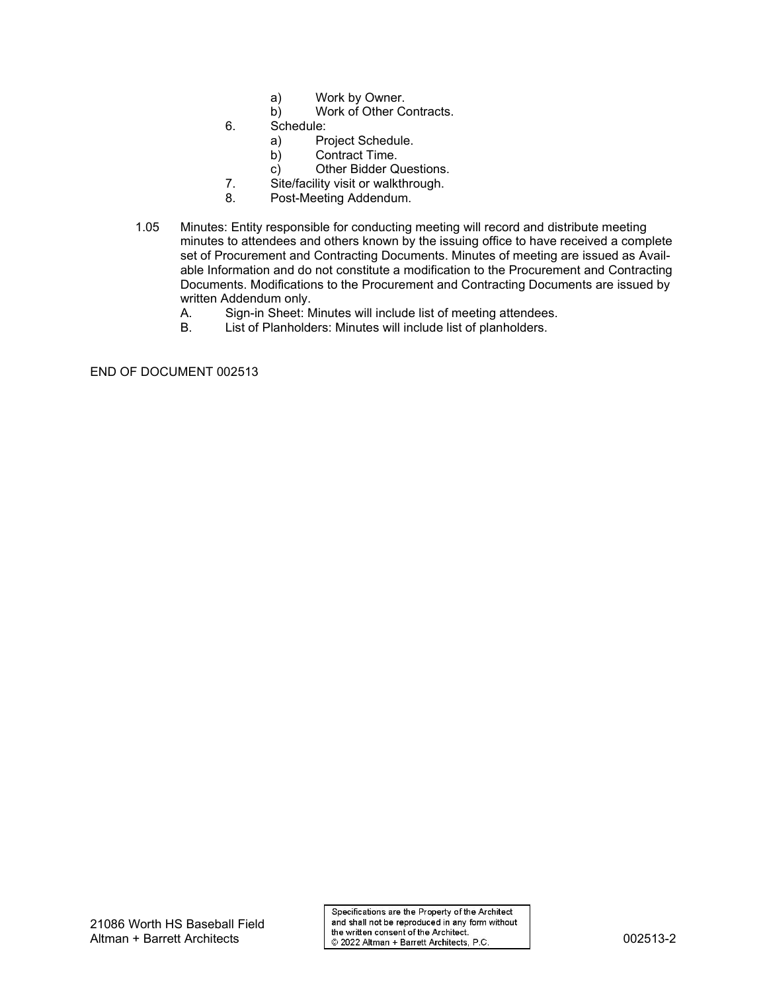- a) Work by Owner.<br>b) Work of Other Co
- Work of Other Contracts.
- 6. Schedule:
	- Project Schedule.
	- b) Contract Time.
	- c) Other Bidder Questions.
- 7. Site/facility visit or walkthrough.
- 8. Post-Meeting Addendum.
- 1.05 Minutes: Entity responsible for conducting meeting will record and distribute meeting minutes to attendees and others known by the issuing office to have received a complete set of Procurement and Contracting Documents. Minutes of meeting are issued as Available Information and do not constitute a modification to the Procurement and Contracting Documents. Modifications to the Procurement and Contracting Documents are issued by written Addendum only.<br>A. Sign-in Sheet: N
	- Sign-in Sheet: Minutes will include list of meeting attendees.
	- B. List of Planholders: Minutes will include list of planholders.

END OF DOCUMENT 002513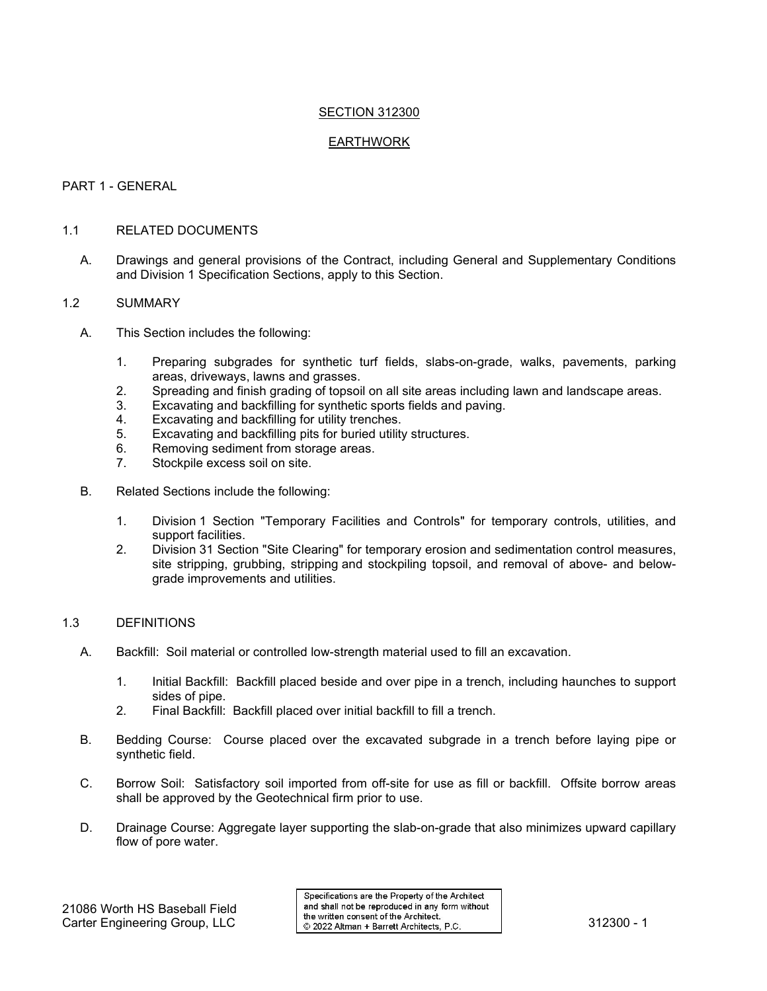#### SECTION 312300

#### EARTHWORK

#### PART 1 - GENERAL

#### 1.1 RELATED DOCUMENTS

A. Drawings and general provisions of the Contract, including General and Supplementary Conditions and Division 1 Specification Sections, apply to this Section.

#### 1.2 SUMMARY

- A. This Section includes the following:
	- 1. Preparing subgrades for synthetic turf fields, slabs-on-grade, walks, pavements, parking areas, driveways, lawns and grasses.
	- 2. Spreading and finish grading of topsoil on all site areas including lawn and landscape areas.<br>3. Excavating and backfilling for synthetic sports fields and paving
	- Excavating and backfilling for synthetic sports fields and paving.
	- 4. Excavating and backfilling for utility trenches.<br>5. Excavating and backfilling pits for buried utility
	- 5. Excavating and backfilling pits for buried utility structures.<br>6. Removing sediment from storage areas.
	- Removing sediment from storage areas.
	- 7. Stockpile excess soil on site.
- B. Related Sections include the following:
	- 1. Division 1 Section "Temporary Facilities and Controls" for temporary controls, utilities, and support facilities.
	- 2. Division 31 Section "Site Clearing" for temporary erosion and sedimentation control measures, site stripping, grubbing, stripping and stockpiling topsoil, and removal of above- and belowgrade improvements and utilities.

#### 1.3 DEFINITIONS

- A. Backfill: Soil material or controlled low-strength material used to fill an excavation.
	- 1. Initial Backfill: Backfill placed beside and over pipe in a trench, including haunches to support sides of pipe.
	- 2. Final Backfill: Backfill placed over initial backfill to fill a trench.
- B. Bedding Course: Course placed over the excavated subgrade in a trench before laying pipe or synthetic field.
- C. Borrow Soil: Satisfactory soil imported from off-site for use as fill or backfill. Offsite borrow areas shall be approved by the Geotechnical firm prior to use.
- D. Drainage Course: Aggregate layer supporting the slab-on-grade that also minimizes upward capillary flow of pore water.

Specifications are the Property of the Architect and shall not be reproduced in any form without 2 1000 WORTH TO DASEDAILLED | the written consent of the Architect.<br>Carter Engineering Group, LLC | © 2022 Altman + Barrett Architects, P.C. | 312300 - 1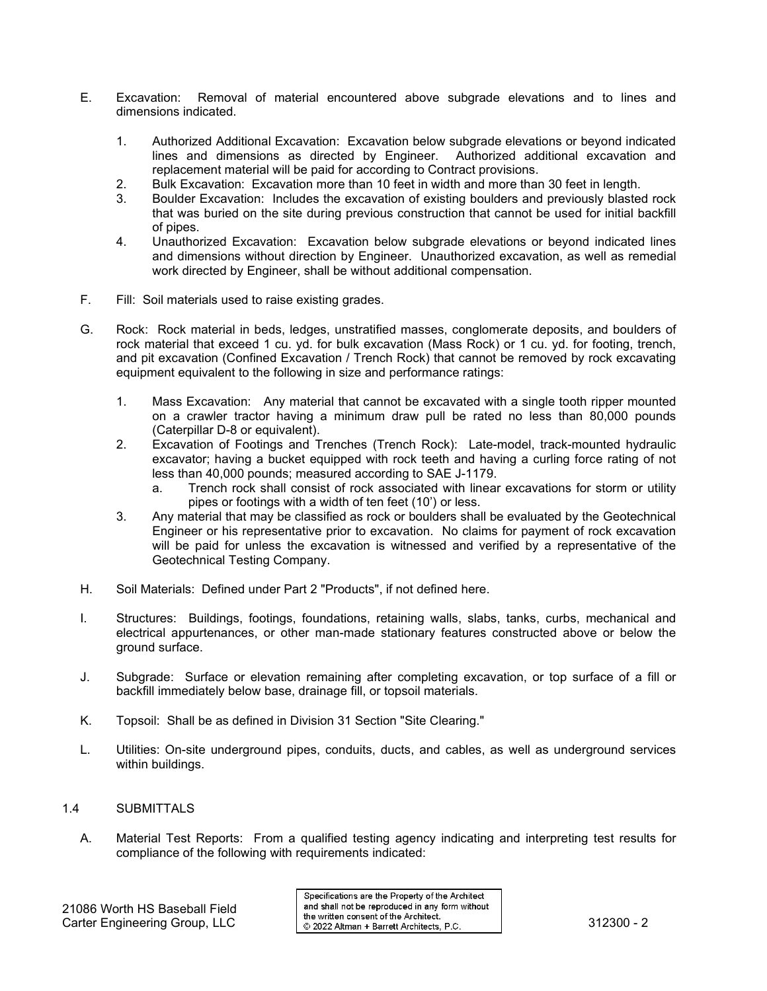- E. Excavation: Removal of material encountered above subgrade elevations and to lines and dimensions indicated.
	- 1. Authorized Additional Excavation: Excavation below subgrade elevations or beyond indicated lines and dimensions as directed by Engineer. Authorized additional excavation and replacement material will be paid for according to Contract provisions.
	- 2. Bulk Excavation: Excavation more than 10 feet in width and more than 30 feet in length.
	- 3. Boulder Excavation: Includes the excavation of existing boulders and previously blasted rock that was buried on the site during previous construction that cannot be used for initial backfill of pipes.
	- 4. Unauthorized Excavation: Excavation below subgrade elevations or beyond indicated lines and dimensions without direction by Engineer. Unauthorized excavation, as well as remedial work directed by Engineer, shall be without additional compensation.
- F. Fill: Soil materials used to raise existing grades.
- G. Rock: Rock material in beds, ledges, unstratified masses, conglomerate deposits, and boulders of rock material that exceed 1 cu. yd. for bulk excavation (Mass Rock) or 1 cu. yd. for footing, trench, and pit excavation (Confined Excavation / Trench Rock) that cannot be removed by rock excavating equipment equivalent to the following in size and performance ratings:
	- 1. Mass Excavation: Any material that cannot be excavated with a single tooth ripper mounted on a crawler tractor having a minimum draw pull be rated no less than 80,000 pounds (Caterpillar D-8 or equivalent).
	- 2. Excavation of Footings and Trenches (Trench Rock): Late-model, track-mounted hydraulic excavator; having a bucket equipped with rock teeth and having a curling force rating of not less than 40,000 pounds; measured according to SAE J-1179.
		- a. Trench rock shall consist of rock associated with linear excavations for storm or utility pipes or footings with a width of ten feet (10') or less.
	- 3. Any material that may be classified as rock or boulders shall be evaluated by the Geotechnical Engineer or his representative prior to excavation. No claims for payment of rock excavation will be paid for unless the excavation is witnessed and verified by a representative of the Geotechnical Testing Company.
- H. Soil Materials: Defined under Part 2 "Products", if not defined here.
- I. Structures: Buildings, footings, foundations, retaining walls, slabs, tanks, curbs, mechanical and electrical appurtenances, or other man-made stationary features constructed above or below the ground surface.
- J. Subgrade: Surface or elevation remaining after completing excavation, or top surface of a fill or backfill immediately below base, drainage fill, or topsoil materials.
- K. Topsoil: Shall be as defined in Division 31 Section "Site Clearing."
- L. Utilities: On-site underground pipes, conduits, ducts, and cables, as well as underground services within buildings.

## 1.4 SUBMITTALS

A. Material Test Reports: From a qualified testing agency indicating and interpreting test results for compliance of the following with requirements indicated:

Specifications are the Property of the Architect and shall not be reproduced in any form without Carter Engineering Group, LLC<br>Carter Engineering Group, LLC 82022 Altman + Barrett Architects, P.C. 312300 - 2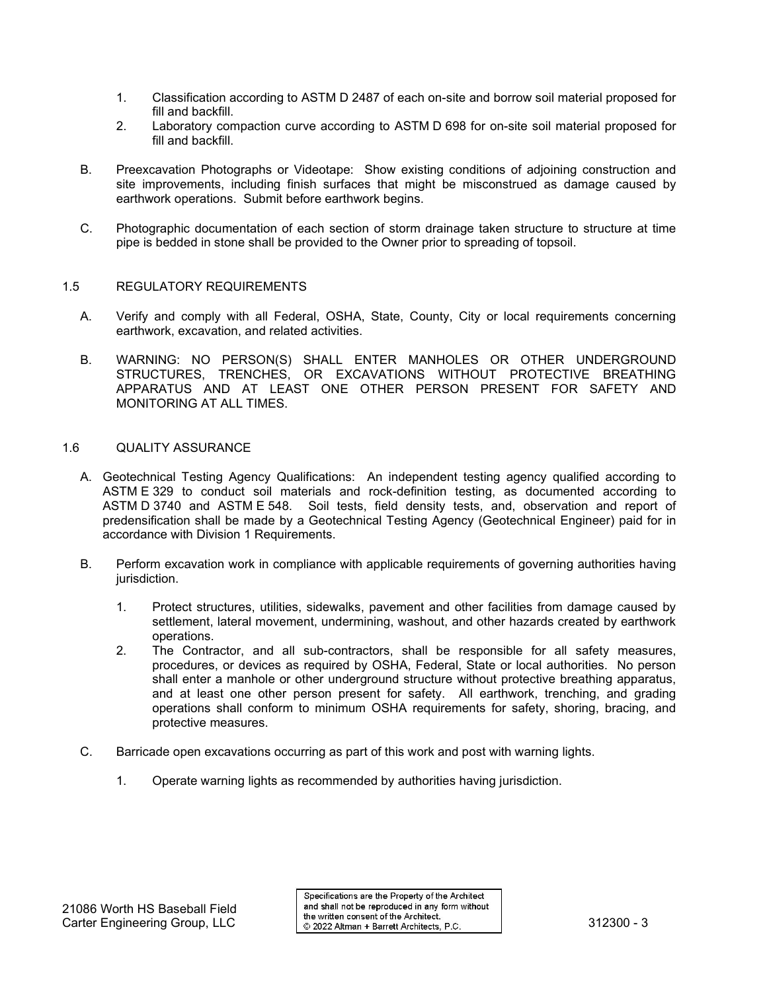- 1. Classification according to ASTM D 2487 of each on-site and borrow soil material proposed for fill and backfill.
- 2. Laboratory compaction curve according to ASTM D 698 for on-site soil material proposed for fill and backfill.
- B. Preexcavation Photographs or Videotape: Show existing conditions of adjoining construction and site improvements, including finish surfaces that might be misconstrued as damage caused by earthwork operations. Submit before earthwork begins.
- C. Photographic documentation of each section of storm drainage taken structure to structure at time pipe is bedded in stone shall be provided to the Owner prior to spreading of topsoil.

#### 1.5 REGULATORY REQUIREMENTS

- A. Verify and comply with all Federal, OSHA, State, County, City or local requirements concerning earthwork, excavation, and related activities.
- B. WARNING: NO PERSON(S) SHALL ENTER MANHOLES OR OTHER UNDERGROUND STRUCTURES, TRENCHES, OR EXCAVATIONS WITHOUT PROTECTIVE BREATHING APPARATUS AND AT LEAST ONE OTHER PERSON PRESENT FOR SAFETY AND MONITORING AT ALL TIMES.

#### 1.6 QUALITY ASSURANCE

- A. Geotechnical Testing Agency Qualifications: An independent testing agency qualified according to ASTM E 329 to conduct soil materials and rock-definition testing, as documented according to ASTM D 3740 and ASTM E 548. Soil tests, field density tests, and, observation and report of predensification shall be made by a Geotechnical Testing Agency (Geotechnical Engineer) paid for in accordance with Division 1 Requirements.
- B. Perform excavation work in compliance with applicable requirements of governing authorities having jurisdiction.
	- 1. Protect structures, utilities, sidewalks, pavement and other facilities from damage caused by settlement, lateral movement, undermining, washout, and other hazards created by earthwork operations.
	- 2. The Contractor, and all sub-contractors, shall be responsible for all safety measures, procedures, or devices as required by OSHA, Federal, State or local authorities. No person shall enter a manhole or other underground structure without protective breathing apparatus, and at least one other person present for safety. All earthwork, trenching, and grading operations shall conform to minimum OSHA requirements for safety, shoring, bracing, and protective measures.
- C. Barricade open excavations occurring as part of this work and post with warning lights.
	- 1. Operate warning lights as recommended by authorities having jurisdiction.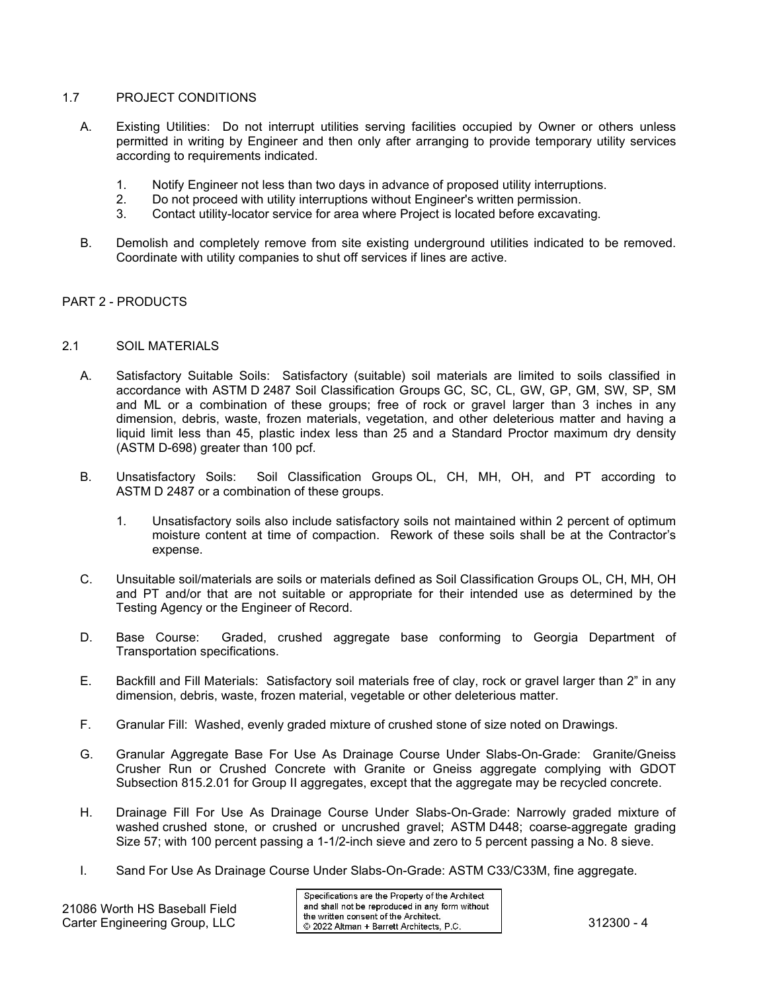## 1.7 PROJECT CONDITIONS

- A. Existing Utilities: Do not interrupt utilities serving facilities occupied by Owner or others unless permitted in writing by Engineer and then only after arranging to provide temporary utility services according to requirements indicated.
	- 1. Notify Engineer not less than two days in advance of proposed utility interruptions.
	- 2. Do not proceed with utility interruptions without Engineer's written permission.<br>3. Contact utility-locator service for area where Project is located before excavati
	- Contact utility-locator service for area where Project is located before excavating.
- B. Demolish and completely remove from site existing underground utilities indicated to be removed. Coordinate with utility companies to shut off services if lines are active.

#### PART 2 - PRODUCTS

#### 2.1 SOIL MATERIALS

- A. Satisfactory Suitable Soils: Satisfactory (suitable) soil materials are limited to soils classified in accordance with ASTM D 2487 Soil Classification Groups GC, SC, CL, GW, GP, GM, SW, SP, SM and ML or a combination of these groups; free of rock or gravel larger than 3 inches in any dimension, debris, waste, frozen materials, vegetation, and other deleterious matter and having a liquid limit less than 45, plastic index less than 25 and a Standard Proctor maximum dry density (ASTM D-698) greater than 100 pcf.
- B. Unsatisfactory Soils: Soil Classification Groups OL, CH, MH, OH, and PT according to ASTM D 2487 or a combination of these groups.
	- 1. Unsatisfactory soils also include satisfactory soils not maintained within 2 percent of optimum moisture content at time of compaction. Rework of these soils shall be at the Contractor's expense.
- C. Unsuitable soil/materials are soils or materials defined as Soil Classification Groups OL, CH, MH, OH and PT and/or that are not suitable or appropriate for their intended use as determined by the Testing Agency or the Engineer of Record.
- D. Base Course: Graded, crushed aggregate base conforming to Georgia Department of Transportation specifications.
- E. Backfill and Fill Materials: Satisfactory soil materials free of clay, rock or gravel larger than 2" in any dimension, debris, waste, frozen material, vegetable or other deleterious matter.
- F. Granular Fill: Washed, evenly graded mixture of crushed stone of size noted on Drawings.
- G. Granular Aggregate Base For Use As Drainage Course Under Slabs-On-Grade: Granite/Gneiss Crusher Run or Crushed Concrete with Granite or Gneiss aggregate complying with GDOT Subsection 815.2.01 for Group II aggregates, except that the aggregate may be recycled concrete.
- H. Drainage Fill For Use As Drainage Course Under Slabs-On-Grade: Narrowly graded mixture of washed crushed stone, or crushed or uncrushed gravel; ASTM D448; coarse-aggregate grading Size 57; with 100 percent passing a 1-1/2-inch sieve and zero to 5 percent passing a No. 8 sieve.
- I. Sand For Use As Drainage Course Under Slabs-On-Grade: ASTM C33/C33M, fine aggregate.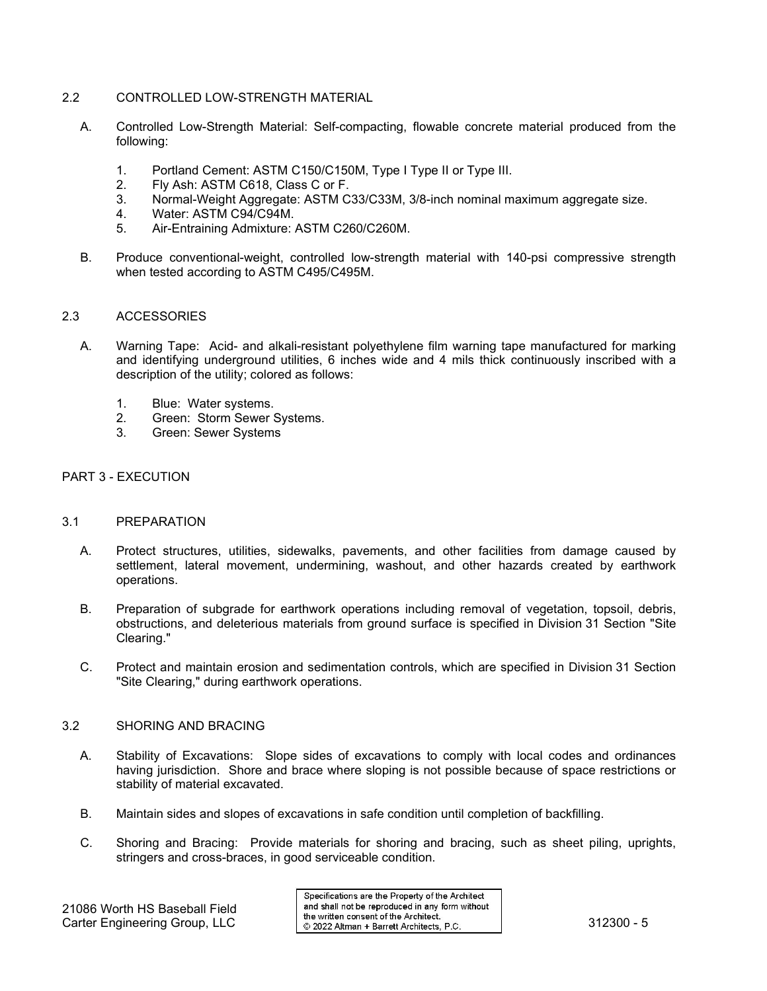## 2.2 CONTROLLED LOW-STRENGTH MATERIAL

- A. Controlled Low-Strength Material: Self-compacting, flowable concrete material produced from the following:
	- 1. Portland Cement: ASTM C150/C150M, Type I Type II or Type III.
	- 2. Fly Ash: ASTM C618, Class C or F.<br>3. Normal-Weight Aggregate: ASTM C
	- 3. Normal-Weight Aggregate: ASTM C33/C33M, 3/8-inch nominal maximum aggregate size.
	- Water: ASTM C94/C94M.
	- 5. Air-Entraining Admixture: ASTM C260/C260M.
- B. Produce conventional-weight, controlled low-strength material with 140-psi compressive strength when tested according to ASTM C495/C495M.

#### 2.3 ACCESSORIES

- A. Warning Tape: Acid- and alkali-resistant polyethylene film warning tape manufactured for marking and identifying underground utilities, 6 inches wide and 4 mils thick continuously inscribed with a description of the utility; colored as follows:
	- 1. Blue: Water systems.<br>2. Green: Storm Sewer 9.
	- Green: Storm Sewer Systems.
	- 3. Green: Sewer Systems

## PART 3 - EXECUTION

#### 3.1 PREPARATION

- A. Protect structures, utilities, sidewalks, pavements, and other facilities from damage caused by settlement, lateral movement, undermining, washout, and other hazards created by earthwork operations.
- B. Preparation of subgrade for earthwork operations including removal of vegetation, topsoil, debris, obstructions, and deleterious materials from ground surface is specified in Division 31 Section "Site Clearing."
- C. Protect and maintain erosion and sedimentation controls, which are specified in Division 31 Section "Site Clearing," during earthwork operations.

#### 3.2 SHORING AND BRACING

- A. Stability of Excavations: Slope sides of excavations to comply with local codes and ordinances having jurisdiction. Shore and brace where sloping is not possible because of space restrictions or stability of material excavated.
- B. Maintain sides and slopes of excavations in safe condition until completion of backfilling.
- C. Shoring and Bracing: Provide materials for shoring and bracing, such as sheet piling, uprights, stringers and cross-braces, in good serviceable condition.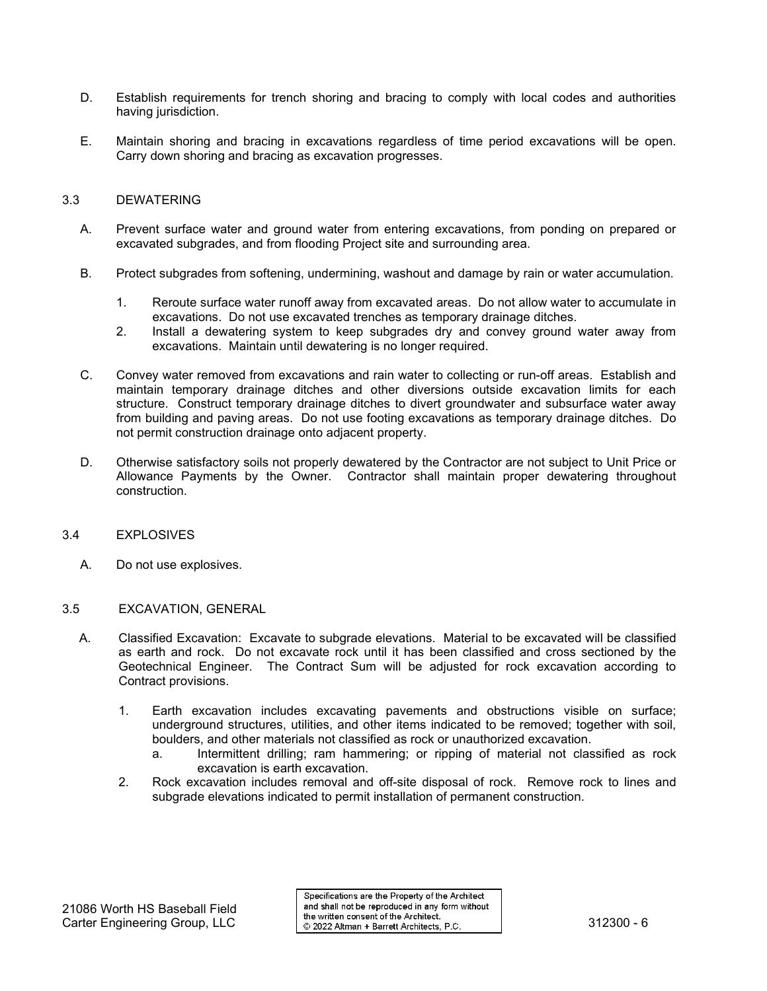- D. Establish requirements for trench shoring and bracing to comply with local codes and authorities having jurisdiction.
- E. Maintain shoring and bracing in excavations regardless of time period excavations will be open. Carry down shoring and bracing as excavation progresses.

## 3.3 DEWATERING

- A. Prevent surface water and ground water from entering excavations, from ponding on prepared or excavated subgrades, and from flooding Project site and surrounding area.
- B. Protect subgrades from softening, undermining, washout and damage by rain or water accumulation.
	- 1. Reroute surface water runoff away from excavated areas. Do not allow water to accumulate in excavations. Do not use excavated trenches as temporary drainage ditches.
	- 2. Install a dewatering system to keep subgrades dry and convey ground water away from excavations. Maintain until dewatering is no longer required.
- C. Convey water removed from excavations and rain water to collecting or run-off areas. Establish and maintain temporary drainage ditches and other diversions outside excavation limits for each structure. Construct temporary drainage ditches to divert groundwater and subsurface water away from building and paving areas. Do not use footing excavations as temporary drainage ditches. Do not permit construction drainage onto adjacent property.
- D. Otherwise satisfactory soils not properly dewatered by the Contractor are not subject to Unit Price or Allowance Payments by the Owner. Contractor shall maintain proper dewatering throughout construction.
- 3.4 EXPLOSIVES
	- A. Do not use explosives.
- 3.5 EXCAVATION, GENERAL
	- A. Classified Excavation: Excavate to subgrade elevations. Material to be excavated will be classified as earth and rock. Do not excavate rock until it has been classified and cross sectioned by the Geotechnical Engineer. The Contract Sum will be adjusted for rock excavation according to Contract provisions.
		- 1. Earth excavation includes excavating pavements and obstructions visible on surface; underground structures, utilities, and other items indicated to be removed; together with soil, boulders, and other materials not classified as rock or unauthorized excavation.
			- a. Intermittent drilling; ram hammering; or ripping of material not classified as rock excavation is earth excavation.
		- 2. Rock excavation includes removal and off-site disposal of rock. Remove rock to lines and subgrade elevations indicated to permit installation of permanent construction.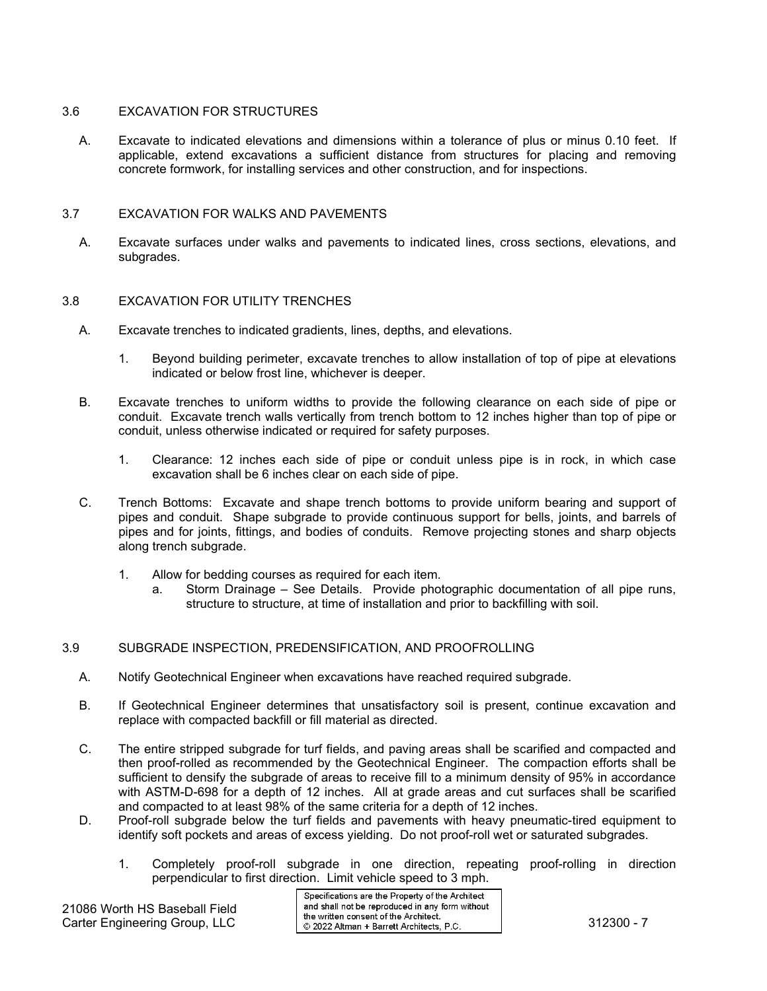#### 3.6 EXCAVATION FOR STRUCTURES

A. Excavate to indicated elevations and dimensions within a tolerance of plus or minus 0.10 feet. If applicable, extend excavations a sufficient distance from structures for placing and removing concrete formwork, for installing services and other construction, and for inspections.

#### 3.7 EXCAVATION FOR WALKS AND PAVEMENTS

A. Excavate surfaces under walks and pavements to indicated lines, cross sections, elevations, and subgrades.

#### 3.8 EXCAVATION FOR UTILITY TRENCHES

- A. Excavate trenches to indicated gradients, lines, depths, and elevations.
	- 1. Beyond building perimeter, excavate trenches to allow installation of top of pipe at elevations indicated or below frost line, whichever is deeper.
- B. Excavate trenches to uniform widths to provide the following clearance on each side of pipe or conduit. Excavate trench walls vertically from trench bottom to 12 inches higher than top of pipe or conduit, unless otherwise indicated or required for safety purposes.
	- 1. Clearance: 12 inches each side of pipe or conduit unless pipe is in rock, in which case excavation shall be 6 inches clear on each side of pipe.
- C. Trench Bottoms: Excavate and shape trench bottoms to provide uniform bearing and support of pipes and conduit. Shape subgrade to provide continuous support for bells, joints, and barrels of pipes and for joints, fittings, and bodies of conduits. Remove projecting stones and sharp objects along trench subgrade.
	- 1. Allow for bedding courses as required for each item.
		- a. Storm Drainage See Details. Provide photographic documentation of all pipe runs, structure to structure, at time of installation and prior to backfilling with soil.

## 3.9 SUBGRADE INSPECTION, PREDENSIFICATION, AND PROOFROLLING

- A. Notify Geotechnical Engineer when excavations have reached required subgrade.
- B. If Geotechnical Engineer determines that unsatisfactory soil is present, continue excavation and replace with compacted backfill or fill material as directed.
- C. The entire stripped subgrade for turf fields, and paving areas shall be scarified and compacted and then proof-rolled as recommended by the Geotechnical Engineer. The compaction efforts shall be sufficient to densify the subgrade of areas to receive fill to a minimum density of 95% in accordance with ASTM-D-698 for a depth of 12 inches. All at grade areas and cut surfaces shall be scarified and compacted to at least 98% of the same criteria for a depth of 12 inches.
- D. Proof-roll subgrade below the turf fields and pavements with heavy pneumatic-tired equipment to identify soft pockets and areas of excess yielding. Do not proof-roll wet or saturated subgrades.
	- 1. Completely proof-roll subgrade in one direction, repeating proof-rolling in direction perpendicular to first direction. Limit vehicle speed to 3 mph.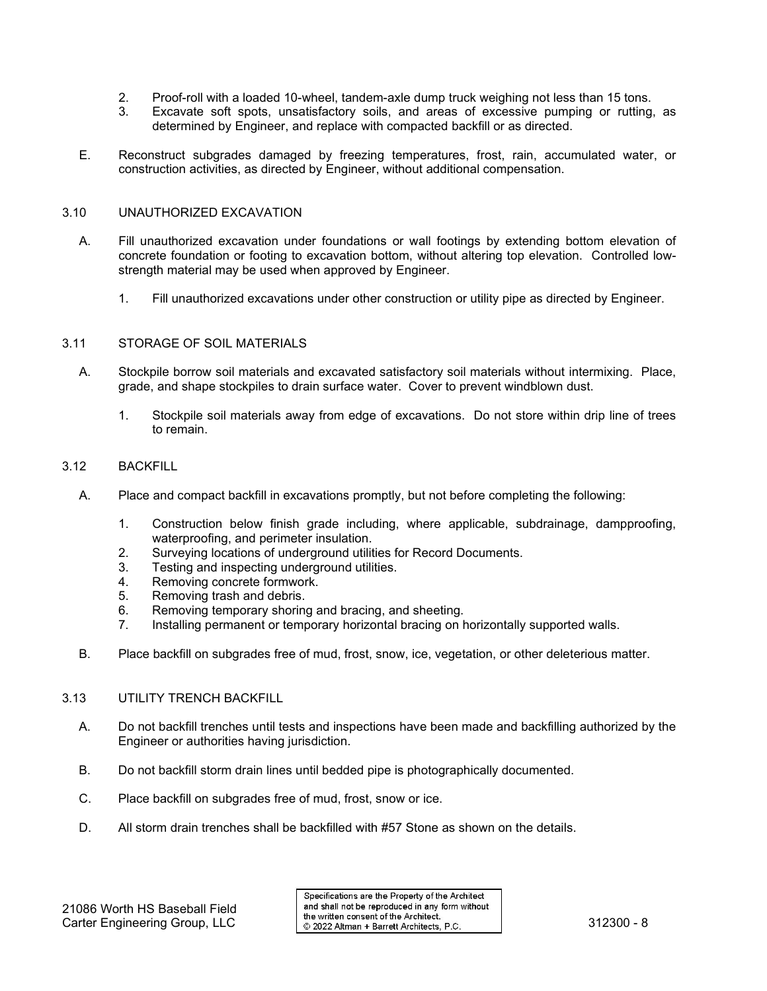- 2. Proof-roll with a loaded 10-wheel, tandem-axle dump truck weighing not less than 15 tons.
- 3. Excavate soft spots, unsatisfactory soils, and areas of excessive pumping or rutting, as determined by Engineer, and replace with compacted backfill or as directed.
- E. Reconstruct subgrades damaged by freezing temperatures, frost, rain, accumulated water, or construction activities, as directed by Engineer, without additional compensation.

#### 3.10 UNAUTHORIZED EXCAVATION

- A. Fill unauthorized excavation under foundations or wall footings by extending bottom elevation of concrete foundation or footing to excavation bottom, without altering top elevation. Controlled lowstrength material may be used when approved by Engineer.
	- 1. Fill unauthorized excavations under other construction or utility pipe as directed by Engineer.

#### 3.11 STORAGE OF SOIL MATERIALS

- A. Stockpile borrow soil materials and excavated satisfactory soil materials without intermixing. Place, grade, and shape stockpiles to drain surface water. Cover to prevent windblown dust.
	- 1. Stockpile soil materials away from edge of excavations. Do not store within drip line of trees to remain.

#### 3.12 BACKFILL

- A. Place and compact backfill in excavations promptly, but not before completing the following:
	- 1. Construction below finish grade including, where applicable, subdrainage, dampproofing, waterproofing, and perimeter insulation.
	- 2. Surveying locations of underground utilities for Record Documents.
	- 3. Testing and inspecting underground utilities.
	- 4. Removing concrete formwork.
	- 5. Removing trash and debris.
	- 6. Removing temporary shoring and bracing, and sheeting.
	- 7. Installing permanent or temporary horizontal bracing on horizontally supported walls.
- B. Place backfill on subgrades free of mud, frost, snow, ice, vegetation, or other deleterious matter.

#### 3.13 UTILITY TRENCH BACKFILL

- A. Do not backfill trenches until tests and inspections have been made and backfilling authorized by the Engineer or authorities having jurisdiction.
- B. Do not backfill storm drain lines until bedded pipe is photographically documented.
- C. Place backfill on subgrades free of mud, frost, snow or ice.
- D. All storm drain trenches shall be backfilled with #57 Stone as shown on the details.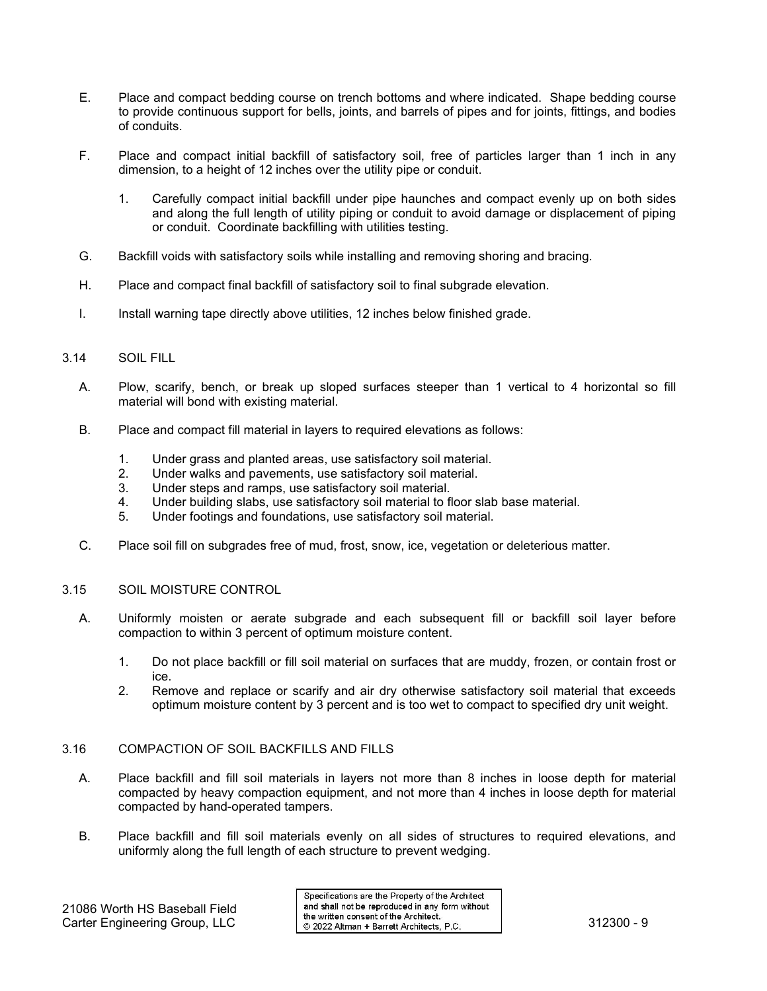- E. Place and compact bedding course on trench bottoms and where indicated. Shape bedding course to provide continuous support for bells, joints, and barrels of pipes and for joints, fittings, and bodies of conduits.
- F. Place and compact initial backfill of satisfactory soil, free of particles larger than 1 inch in any dimension, to a height of 12 inches over the utility pipe or conduit.
	- 1. Carefully compact initial backfill under pipe haunches and compact evenly up on both sides and along the full length of utility piping or conduit to avoid damage or displacement of piping or conduit. Coordinate backfilling with utilities testing.
- G. Backfill voids with satisfactory soils while installing and removing shoring and bracing.
- H. Place and compact final backfill of satisfactory soil to final subgrade elevation.
- I. Install warning tape directly above utilities, 12 inches below finished grade.

#### 3.14 SOIL FILL

- A. Plow, scarify, bench, or break up sloped surfaces steeper than 1 vertical to 4 horizontal so fill material will bond with existing material.
- B. Place and compact fill material in layers to required elevations as follows:
	- 1. Under grass and planted areas, use satisfactory soil material.
	- 2. Under walks and pavements, use satisfactory soil material.
	- Under steps and ramps, use satisfactory soil material.
	- 4. Under building slabs, use satisfactory soil material to floor slab base material.<br>5. Under footings and foundations, use satisfactory soil material.
	- Under footings and foundations, use satisfactory soil material.
- C. Place soil fill on subgrades free of mud, frost, snow, ice, vegetation or deleterious matter.

# 3.15 SOIL MOISTURE CONTROL

- A. Uniformly moisten or aerate subgrade and each subsequent fill or backfill soil layer before compaction to within 3 percent of optimum moisture content.
	- 1. Do not place backfill or fill soil material on surfaces that are muddy, frozen, or contain frost or ice.
	- 2. Remove and replace or scarify and air dry otherwise satisfactory soil material that exceeds optimum moisture content by 3 percent and is too wet to compact to specified dry unit weight.

#### 3.16 COMPACTION OF SOIL BACKFILLS AND FILLS

- A. Place backfill and fill soil materials in layers not more than 8 inches in loose depth for material compacted by heavy compaction equipment, and not more than 4 inches in loose depth for material compacted by hand-operated tampers.
- B. Place backfill and fill soil materials evenly on all sides of structures to required elevations, and uniformly along the full length of each structure to prevent wedging.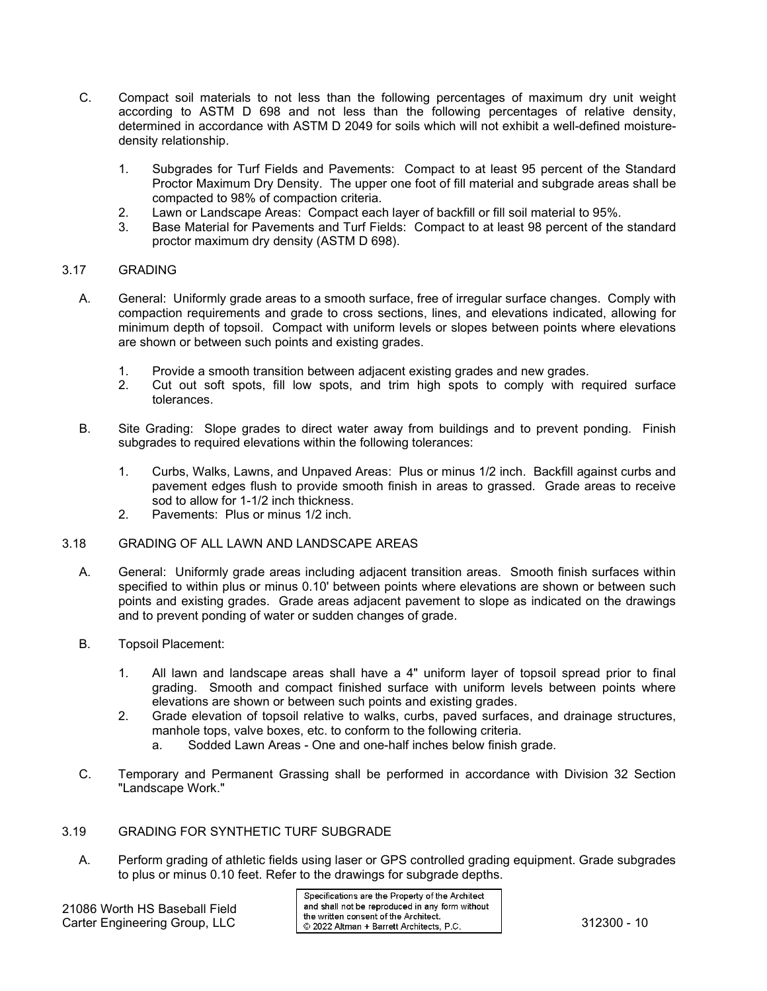- C. Compact soil materials to not less than the following percentages of maximum dry unit weight according to ASTM D 698 and not less than the following percentages of relative density, determined in accordance with ASTM D 2049 for soils which will not exhibit a well-defined moisturedensity relationship.
	- 1. Subgrades for Turf Fields and Pavements: Compact to at least 95 percent of the Standard Proctor Maximum Dry Density. The upper one foot of fill material and subgrade areas shall be compacted to 98% of compaction criteria.
	- 2. Lawn or Landscape Areas: Compact each layer of backfill or fill soil material to 95%.<br>3. Base Material for Payements and Turf Fields: Compact to at least 98 percent of the
	- Base Material for Pavements and Turf Fields: Compact to at least 98 percent of the standard proctor maximum dry density (ASTM D 698).

## 3.17 GRADING

- A. General: Uniformly grade areas to a smooth surface, free of irregular surface changes. Comply with compaction requirements and grade to cross sections, lines, and elevations indicated, allowing for minimum depth of topsoil. Compact with uniform levels or slopes between points where elevations are shown or between such points and existing grades.
	- 1. Provide a smooth transition between adjacent existing grades and new grades.<br>2. Cut out soft spots, fill low spots, and trim high spots to comply with re
	- Cut out soft spots, fill low spots, and trim high spots to comply with required surface tolerances.
- B. Site Grading: Slope grades to direct water away from buildings and to prevent ponding. Finish subgrades to required elevations within the following tolerances:
	- 1. Curbs, Walks, Lawns, and Unpaved Areas: Plus or minus 1/2 inch. Backfill against curbs and pavement edges flush to provide smooth finish in areas to grassed. Grade areas to receive sod to allow for 1-1/2 inch thickness.
	- 2. Pavements: Plus or minus 1/2 inch.

#### 3.18 GRADING OF ALL LAWN AND LANDSCAPE AREAS

- A. General: Uniformly grade areas including adjacent transition areas. Smooth finish surfaces within specified to within plus or minus 0.10' between points where elevations are shown or between such points and existing grades. Grade areas adjacent pavement to slope as indicated on the drawings and to prevent ponding of water or sudden changes of grade.
- B. Topsoil Placement:
	- 1. All lawn and landscape areas shall have a 4" uniform layer of topsoil spread prior to final grading. Smooth and compact finished surface with uniform levels between points where elevations are shown or between such points and existing grades.
	- 2. Grade elevation of topsoil relative to walks, curbs, paved surfaces, and drainage structures, manhole tops, valve boxes, etc. to conform to the following criteria.
		- a. Sodded Lawn Areas One and one-half inches below finish grade.
- C. Temporary and Permanent Grassing shall be performed in accordance with Division 32 Section "Landscape Work."

#### 3.19 GRADING FOR SYNTHETIC TURF SUBGRADE

A. Perform grading of athletic fields using laser or GPS controlled grading equipment. Grade subgrades to plus or minus 0.10 feet. Refer to the drawings for subgrade depths.

21086 Worth HS Baseball Field

Specifications are the Property of the Architect and shall not be reproduced in any form without Carter Engineering Group, LLC<br>Carter Engineering Group, LLC 82022 Altman + Barrett Architects, P.C. 312300 - 10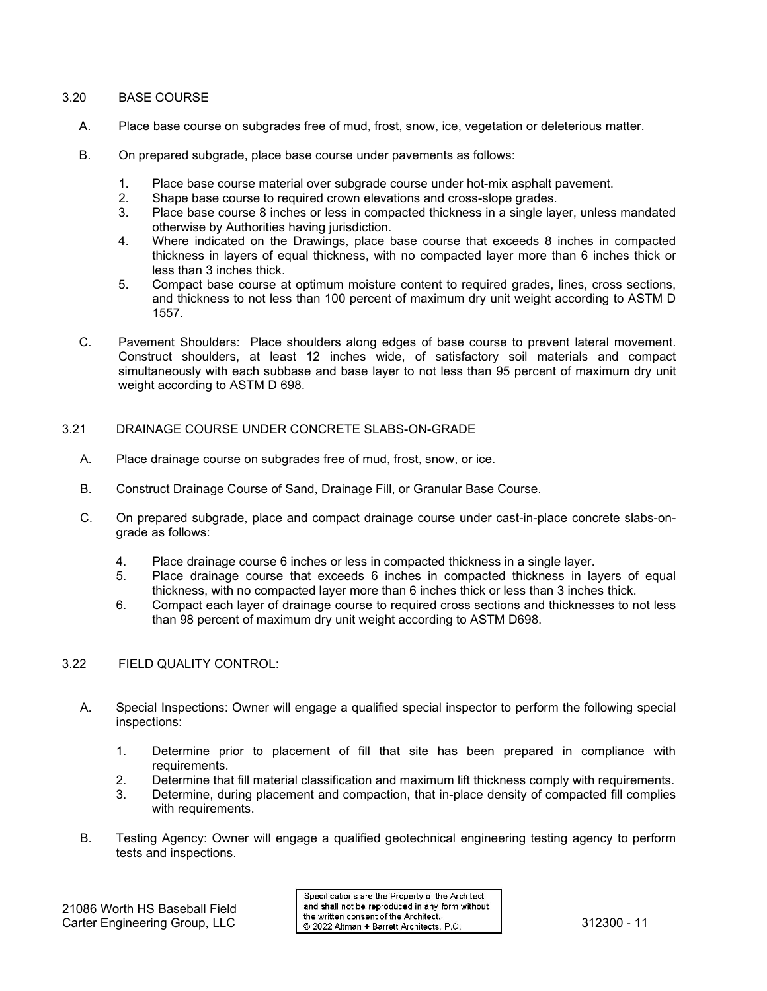# 3.20 BASE COURSE

- A. Place base course on subgrades free of mud, frost, snow, ice, vegetation or deleterious matter.
- B. On prepared subgrade, place base course under pavements as follows:
	- 1. Place base course material over subgrade course under hot-mix asphalt pavement.
	- 2. Shape base course to required crown elevations and cross-slope grades.<br>3. Place base course 8 inches or less in compacted thickness in a single lay
	- Place base course 8 inches or less in compacted thickness in a single layer, unless mandated otherwise by Authorities having jurisdiction.
	- 4. Where indicated on the Drawings, place base course that exceeds 8 inches in compacted thickness in layers of equal thickness, with no compacted layer more than 6 inches thick or less than 3 inches thick.
	- 5. Compact base course at optimum moisture content to required grades, lines, cross sections, and thickness to not less than 100 percent of maximum dry unit weight according to ASTM D 1557.
- C. Pavement Shoulders: Place shoulders along edges of base course to prevent lateral movement. Construct shoulders, at least 12 inches wide, of satisfactory soil materials and compact simultaneously with each subbase and base layer to not less than 95 percent of maximum dry unit weight according to ASTM D 698.

#### 3.21 DRAINAGE COURSE UNDER CONCRETE SLABS-ON-GRADE

- A. Place drainage course on subgrades free of mud, frost, snow, or ice.
- B. Construct Drainage Course of Sand, Drainage Fill, or Granular Base Course.
- C. On prepared subgrade, place and compact drainage course under cast-in-place concrete slabs-ongrade as follows:
	- 4. Place drainage course 6 inches or less in compacted thickness in a single layer.
	- 5. Place drainage course that exceeds 6 inches in compacted thickness in layers of equal thickness, with no compacted layer more than 6 inches thick or less than 3 inches thick.
	- 6. Compact each layer of drainage course to required cross sections and thicknesses to not less than 98 percent of maximum dry unit weight according to ASTM D698.

# 3.22 FIELD QUALITY CONTROL:

- A. Special Inspections: Owner will engage a qualified special inspector to perform the following special inspections:
	- 1. Determine prior to placement of fill that site has been prepared in compliance with requirements.
	- 2. Determine that fill material classification and maximum lift thickness comply with requirements.
	- 3. Determine, during placement and compaction, that in-place density of compacted fill complies with requirements.
- B. Testing Agency: Owner will engage a qualified geotechnical engineering testing agency to perform tests and inspections.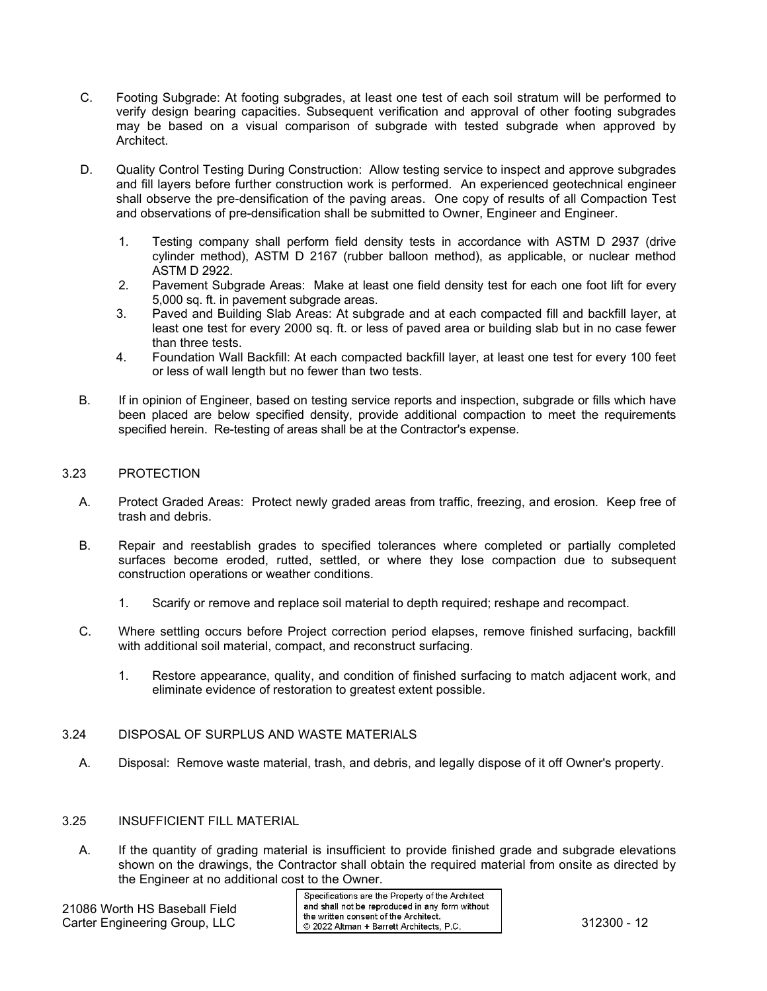- C. Footing Subgrade: At footing subgrades, at least one test of each soil stratum will be performed to verify design bearing capacities. Subsequent verification and approval of other footing subgrades may be based on a visual comparison of subgrade with tested subgrade when approved by Architect.
- D. Quality Control Testing During Construction: Allow testing service to inspect and approve subgrades and fill layers before further construction work is performed. An experienced geotechnical engineer shall observe the pre-densification of the paving areas. One copy of results of all Compaction Test and observations of pre-densification shall be submitted to Owner, Engineer and Engineer.
	- 1. Testing company shall perform field density tests in accordance with ASTM D 2937 (drive cylinder method), ASTM D 2167 (rubber balloon method), as applicable, or nuclear method ASTM D 2922.
	- 2. Pavement Subgrade Areas: Make at least one field density test for each one foot lift for every 5,000 sq. ft. in pavement subgrade areas.
	- 3. Paved and Building Slab Areas: At subgrade and at each compacted fill and backfill layer, at least one test for every 2000 sq. ft. or less of paved area or building slab but in no case fewer than three tests.
	- 4. Foundation Wall Backfill: At each compacted backfill layer, at least one test for every 100 feet or less of wall length but no fewer than two tests.
- B. If in opinion of Engineer, based on testing service reports and inspection, subgrade or fills which have been placed are below specified density, provide additional compaction to meet the requirements specified herein. Re-testing of areas shall be at the Contractor's expense.

## 3.23 PROTECTION

- A. Protect Graded Areas: Protect newly graded areas from traffic, freezing, and erosion. Keep free of trash and debris.
- B. Repair and reestablish grades to specified tolerances where completed or partially completed surfaces become eroded, rutted, settled, or where they lose compaction due to subsequent construction operations or weather conditions.
	- 1. Scarify or remove and replace soil material to depth required; reshape and recompact.
- C. Where settling occurs before Project correction period elapses, remove finished surfacing, backfill with additional soil material, compact, and reconstruct surfacing.
	- 1. Restore appearance, quality, and condition of finished surfacing to match adjacent work, and eliminate evidence of restoration to greatest extent possible.

## 3.24 DISPOSAL OF SURPLUS AND WASTE MATERIALS

A. Disposal: Remove waste material, trash, and debris, and legally dispose of it off Owner's property.

#### 3.25 INSUFFICIENT FILL MATERIAL

A. If the quantity of grading material is insufficient to provide finished grade and subgrade elevations shown on the drawings, the Contractor shall obtain the required material from onsite as directed by the Engineer at no additional cost to the Owner.